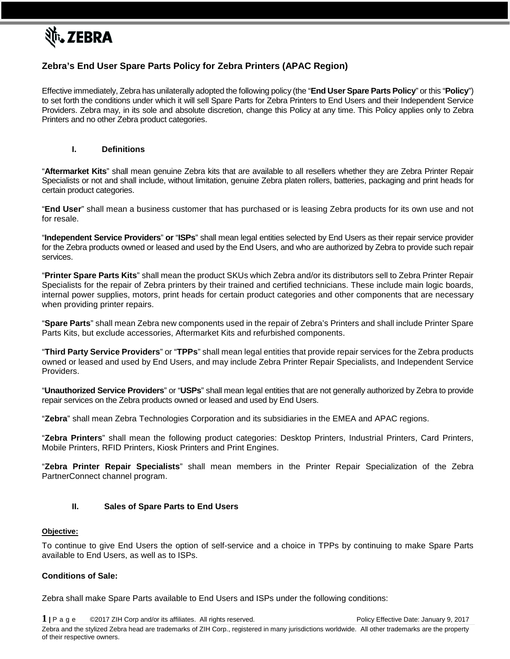

# **Zebra's End User Spare Parts Policy for Zebra Printers (APAC Region)**

Effective immediately, Zebra has unilaterally adopted the following policy (the "**End User Spare Parts Policy**" or this "**Policy**") to set forth the conditions under which it will sell Spare Parts for Zebra Printers to End Users and their Independent Service Providers. Zebra may, in its sole and absolute discretion, change this Policy at any time. This Policy applies only to Zebra Printers and no other Zebra product categories.

## **I. Definitions**

"**Aftermarket Kits**" shall mean genuine Zebra kits that are available to all resellers whether they are Zebra Printer Repair Specialists or not and shall include, without limitation, genuine Zebra platen rollers, batteries, packaging and print heads for certain product categories.

"**End User**" shall mean a business customer that has purchased or is leasing Zebra products for its own use and not for resale.

"**Independent Service Providers**" **or** "**ISPs**" shall mean legal entities selected by End Users as their repair service provider for the Zebra products owned or leased and used by the End Users, and who are authorized by Zebra to provide such repair services.

"**Printer Spare Parts Kits**" shall mean the product SKUs which Zebra and/or its distributors sell to Zebra Printer Repair Specialists for the repair of Zebra printers by their trained and certified technicians. These include main logic boards, internal power supplies, motors, print heads for certain product categories and other components that are necessary when providing printer repairs.

"**Spare Parts**" shall mean Zebra new components used in the repair of Zebra's Printers and shall include Printer Spare Parts Kits, but exclude accessories, Aftermarket Kits and refurbished components.

"**Third Party Service Providers**" or "**TPPs**" shall mean legal entities that provide repair services for the Zebra products owned or leased and used by End Users, and may include Zebra Printer Repair Specialists, and Independent Service Providers.

"**Unauthorized Service Providers**" or "**USPs**" shall mean legal entities that are not generally authorized by Zebra to provide repair services on the Zebra products owned or leased and used by End Users.

"**Zebra**" shall mean Zebra Technologies Corporation and its subsidiaries in the EMEA and APAC regions.

"**Zebra Printers**" shall mean the following product categories: Desktop Printers, Industrial Printers, Card Printers, Mobile Printers, RFID Printers, Kiosk Printers and Print Engines.

"**Zebra Printer Repair Specialists**" shall mean members in the Printer Repair Specialization of the Zebra PartnerConnect channel program.

#### **II. Sales of Spare Parts to End Users**

#### **Objective:**

To continue to give End Users the option of self-service and a choice in TPPs by continuing to make Spare Parts available to End Users, as well as to ISPs.

### **Conditions of Sale:**

Zebra shall make Spare Parts available to End Users and ISPs under the following conditions:

**1 <sup>|</sup>**Page ©2017 ZIH Corp and/or its affiliates. All rights reserved. Policy Effective Date: January 9, 2017 Zebra and the stylized Zebra head are trademarks of ZIH Corp., registered in many jurisdictions worldwide. All other trademarks are the property of their respective owners.